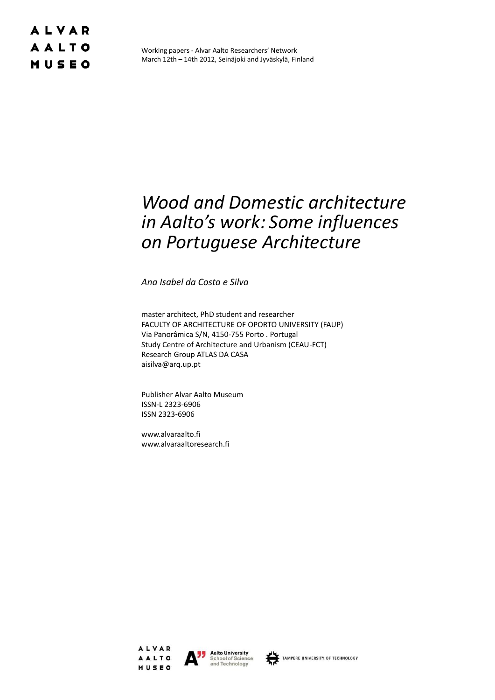### **ALVAR AALTO** MUSEO

Working papers - Alvar Aalto Researchers' Network March 12th – 14th 2012, Seinäjoki and Jyväskylä, Finland

# *Wood and Domestic architecture in Aalto's work: Some influences on Portuguese Architecture*

*Ana Isabel da Costa e Silva*

master architect, PhD student and researcher FACULTY OF ARCHITECTURE OF OPORTO UNIVERSITY (FAUP) Via Panorâmica S/N, 4150-755 Porto . Portugal Study Centre of Architecture and Urbanism (CEAU-FCT) Research Group ATLAS DA CASA aisilva@arq.up.pt

Publisher Alvar Aalto Museum ISSN-L 2323-6906 ISSN 2323-6906

www.alvaraalto.fi www.alvaraaltoresearch.fi





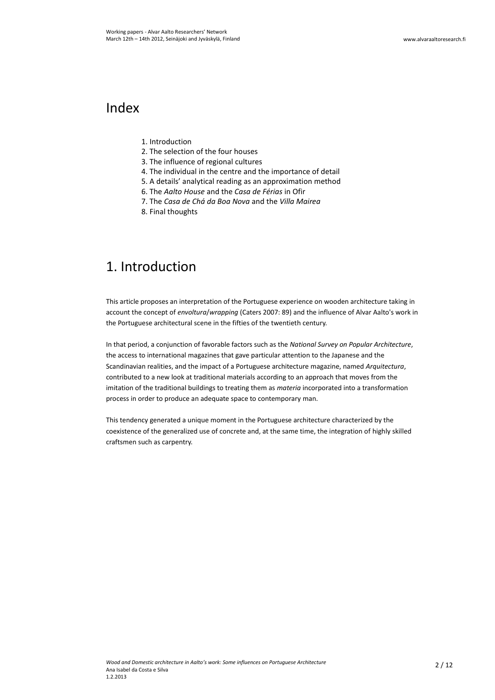#### Index

- 1. Introduction
- 2. The selection of the four houses
- 3. The influence of regional cultures
- 4. The individual in the centre and the importance of detail
- 5. A details' analytical reading as an approximation method
- 6. The *Aalto House* and the *Casa de Férias* in Ofir
- 7. The *Casa de Chá da Boa Nova* and the *Villa Mairea*
- 8. Final thoughts

### 1. Introduction

This article proposes an interpretation of the Portuguese experience on wooden architecture taking in account the concept of *envoltura*/*wrapping* (Caters 2007: 89) and the influence of Alvar Aalto's work in the Portuguese architectural scene in the fifties of the twentieth century.

In that period, a conjunction of favorable factors such as the *National Survey on Popular Architecture*, the access to international magazines that gave particular attention to the Japanese and the Scandinavian realities, and the impact of a Portuguese architecture magazine, named *Arquitectura*, contributed to a new look at traditional materials according to an approach that moves from the imitation of the traditional buildings to treating them as *materia* incorporated into a transformation process in order to produce an adequate space to contemporary man.

This tendency generated a unique moment in the Portuguese architecture characterized by the coexistence of the generalized use of concrete and, at the same time, the integration of highly skilled craftsmen such as carpentry.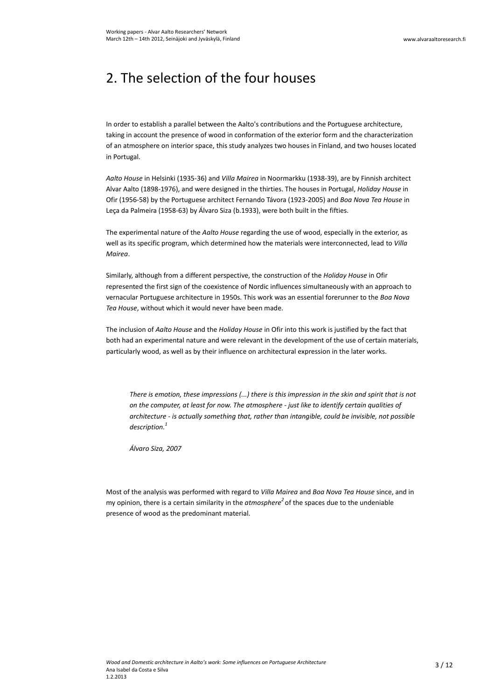# 2. The selection of the four houses

In order to establish a parallel between the Aalto's contributions and the Portuguese architecture, taking in account the presence of wood in conformation of the exterior form and the characterization of an atmosphere on interior space, this study analyzes two houses in Finland, and two houses located in Portugal.

*Aalto House* in Helsinki (1935-36) and *Villa Mairea* in Noormarkku (1938-39), are by Finnish architect Alvar Aalto (1898-1976), and were designed in the thirties. The houses in Portugal, *Holiday House* in Ofir (1956-58) by the Portuguese architect Fernando Távora (1923-2005) and *Boa Nova Tea House* in Leça da Palmeira (1958-63) by Álvaro Siza (b.1933), were both built in the fifties.

The experimental nature of the *Aalto House* regarding the use of wood, especially in the exterior, as well as its specific program, which determined how the materials were interconnected, lead to *Villa Mairea*.

Similarly, although from a different perspective, the construction of the *Holiday House* in Ofir represented the first sign of the coexistence of Nordic influences simultaneously with an approach to vernacular Portuguese architecture in 1950s. This work was an essential forerunner to the *Boa Nova Tea House*, without which it would never have been made.

The inclusion of *Aalto House* and the *Holiday House* in Ofir into this work is justified by the fact that both had an experimental nature and were relevant in the development of the use of certain materials, particularly wood, as well as by their influence on architectural expression in the later works.

*There is emotion, these impressions (...) there is this impression in the skin and spirit that is not on the computer, at least for now. The atmosphere - just like to identify certain qualities of architecture - is actually something that, rather than intangible, could be invisible, not possible description.<sup>1</sup>*

*Álvaro Siza, 2007*

Most of the analysis was performed with regard to *Villa Mairea* and *Boa Nova Tea House* since, and in my opinion, there is a certain similarity in the *atmosphere<sup>2</sup>* of the spaces due to the undeniable presence of wood as the predominant material.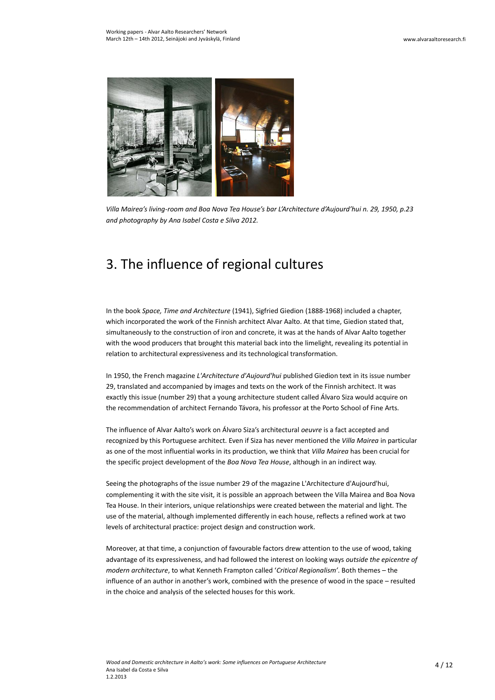

*Villa Mairea's living-room and Boa Nova Tea House's bar L'Architecture d'Aujourd'hui n. 29, 1950, p.23 and photography by Ana Isabel Costa e Silva 2012.*

## 3. The influence of regional cultures

In the book *Space, Time and Architecture* (1941), Sigfried Giedion (1888-1968) included a chapter, which incorporated the work of the Finnish architect Alvar Aalto. At that time, Giedion stated that, simultaneously to the construction of iron and concrete, it was at the hands of Alvar Aalto together with the wood producers that brought this material back into the limelight, revealing its potential in relation to architectural expressiveness and its technological transformation.

In 1950, the French magazine *L'Architecture d'Aujourd'hui* published Giedion text in its issue number 29, translated and accompanied by images and texts on the work of the Finnish architect. It was exactly this issue (number 29) that a young architecture student called Álvaro Siza would acquire on the recommendation of architect Fernando Távora, his professor at the Porto School of Fine Arts.

The influence of Alvar Aalto's work on Álvaro Siza's architectural *oeuvre* is a fact accepted and recognized by this Portuguese architect. Even if Siza has never mentioned the *Villa Mairea* in particular as one of the most influential works in its production, we think that *Villa Mairea* has been crucial for the specific project development of the *Boa Nova Tea House*, although in an indirect way.

Seeing the photographs of the issue number 29 of the magazine L'Architecture d'Aujourd'hui, complementing it with the site visit, it is possible an approach between the Villa Mairea and Boa Nova Tea House. In their interiors, unique relationships were created between the material and light. The use of the material, although implemented differently in each house, reflects a refined work at two levels of architectural practice: project design and construction work.

Moreover, at that time, a conjunction of favourable factors drew attention to the use of wood, taking advantage of its expressiveness, and had followed the interest on looking ways *outside the epicentre of modern architecture*, to what Kenneth Frampton called '*Critical Regionalism'*. Both themes – the influence of an author in another's work, combined with the presence of wood in the space – resulted in the choice and analysis of the selected houses for this work.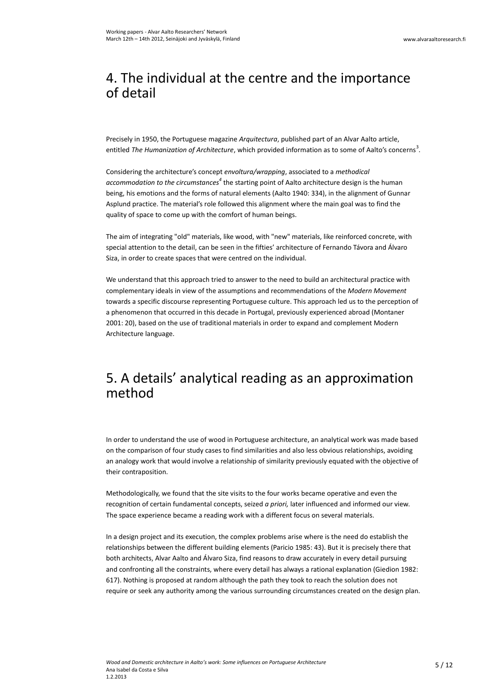## 4. The individual at the centre and the importance of detail

Precisely in 1950, the Portuguese magazine *Arquitectura*, published part of an Alvar Aalto article, entitled *The Humanization of Architecture*, which provided information as to some of Aalto's concerns<sup>3</sup>.

Considering the architecture's concept *envoltura/wrapping*, associated to a *methodical*  accommodation to the circumstances<sup>4</sup> the starting point of Aalto architecture design is the human being, his emotions and the forms of natural elements (Aalto 1940: 334), in the alignment of Gunnar Asplund practice. The material's role followed this alignment where the main goal was to find the quality of space to come up with the comfort of human beings.

The aim of integrating "old" materials, like wood, with "new" materials, like reinforced concrete, with special attention to the detail, can be seen in the fifties' architecture of Fernando Távora and Álvaro Siza, in order to create spaces that were centred on the individual.

We understand that this approach tried to answer to the need to build an architectural practice with complementary ideals in view of the assumptions and recommendations of the *Modern Movement* towards a specific discourse representing Portuguese culture. This approach led us to the perception of a phenomenon that occurred in this decade in Portugal, previously experienced abroad (Montaner 2001: 20), based on the use of traditional materials in order to expand and complement Modern Architecture language.

#### 5. A details' analytical reading as an approximation method

In order to understand the use of wood in Portuguese architecture, an analytical work was made based on the comparison of four study cases to find similarities and also less obvious relationships, avoiding an analogy work that would involve a relationship of similarity previously equated with the objective of their contraposition.

Methodologically, we found that the site visits to the four works became operative and even the recognition of certain fundamental concepts, seized *a priori,* later influenced and informed our view. The space experience became a reading work with a different focus on several materials.

In a design project and its execution, the complex problems arise where is the need do establish the relationships between the different building elements (Paricio 1985: 43). But it is precisely there that both architects, Alvar Aalto and Álvaro Siza, find reasons to draw accurately in every detail pursuing and confronting all the constraints, where every detail has always a rational explanation (Giedion 1982: 617). Nothing is proposed at random although the path they took to reach the solution does not require or seek any authority among the various surrounding circumstances created on the design plan.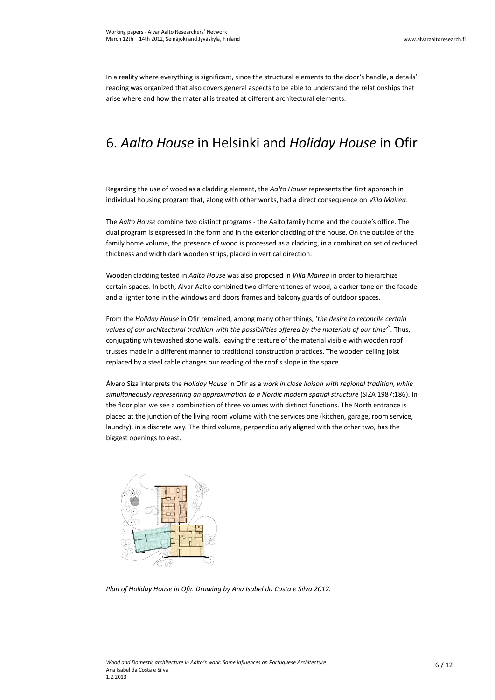In a reality where everything is significant, since the structural elements to the door's handle, a details' reading was organized that also covers general aspects to be able to understand the relationships that arise where and how the material is treated at different architectural elements.

## 6. *Aalto House* in Helsinki and *Holiday House* in Ofir

Regarding the use of wood as a cladding element, the *Aalto House* represents the first approach in individual housing program that, along with other works, had a direct consequence on *Villa Mairea*.

The *Aalto House* combine two distinct programs - the Aalto family home and the couple's office. The dual program is expressed in the form and in the exterior cladding of the house. On the outside of the family home volume, the presence of wood is processed as a cladding, in a combination set of reduced thickness and width dark wooden strips, placed in vertical direction.

Wooden cladding tested in *Aalto House* was also proposed in *Villa Mairea* in order to hierarchize certain spaces. In both, Alvar Aalto combined two different tones of wood, a darker tone on the facade and a lighter tone in the windows and doors frames and balcony guards of outdoor spaces.

From the *Holiday House* in Ofir remained, among many other things, '*the desire to reconcile certain values of our architectural tradition with the possibilities offered by the materials of our time'*<sup>5</sup> *.* Thus, conjugating whitewashed stone walls, leaving the texture of the material visible with wooden roof trusses made in a different manner to traditional construction practices. The wooden ceiling joist replaced by a steel cable changes our reading of the roof's slope in the space.

Álvaro Siza interprets the *Holiday House* in Ofir as a *work in close liaison with regional tradition, while simultaneously representing an approximation to a Nordic modern spatial structure* (SIZA 1987:186). In the floor plan we see a combination of three volumes with distinct functions. The North entrance is placed at the junction of the living room volume with the services one (kitchen, garage, room service, laundry), in a discrete way. The third volume, perpendicularly aligned with the other two, has the biggest openings to east.



*Plan of Holiday House in Ofir. Drawing by Ana Isabel da Costa e Silva 2012.*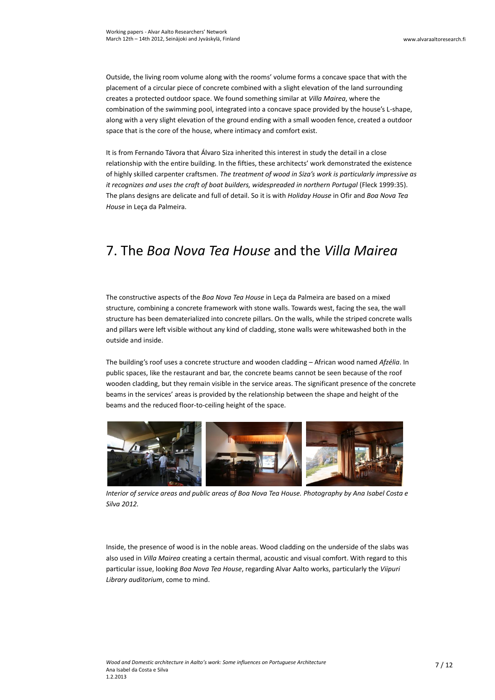Outside, the living room volume along with the rooms' volume forms a concave space that with the placement of a circular piece of concrete combined with a slight elevation of the land surrounding creates a protected outdoor space. We found something similar at *Villa Mairea*, where the combination of the swimming pool, integrated into a concave space provided by the house's L-shape, along with a very slight elevation of the ground ending with a small wooden fence, created a outdoor space that is the core of the house, where intimacy and comfort exist.

It is from Fernando Távora that Álvaro Siza inherited this interest in study the detail in a close relationship with the entire building. In the fifties, these architects' work demonstrated the existence of highly skilled carpenter craftsmen. *The treatment of wood in Siza's work is particularly impressive as it recognizes and uses the craft of boat builders, widespreaded in northern Portugal* (Fleck 1999:35). The plans designs are delicate and full of detail. So it is with *Holiday House* in Ofir and *Boa Nova Tea House* in Leça da Palmeira.

## 7. The *Boa Nova Tea House* and the *Villa Mairea*

The constructive aspects of the *Boa Nova Tea House* in Leça da Palmeira are based on a mixed structure, combining a concrete framework with stone walls. Towards west, facing the sea, the wall structure has been dematerialized into concrete pillars. On the walls, while the striped concrete walls and pillars were left visible without any kind of cladding, stone walls were whitewashed both in the outside and inside.

The building's roof uses a concrete structure and wooden cladding – African wood named *Afzélia*. In public spaces, like the restaurant and bar, the concrete beams cannot be seen because of the roof wooden cladding, but they remain visible in the service areas. The significant presence of the concrete beams in the services' areas is provided by the relationship between the shape and height of the beams and the reduced floor-to-ceiling height of the space.



*Interior of service areas and public areas of Boa Nova Tea House. Photography by Ana Isabel Costa e Silva 2012.*

Inside, the presence of wood is in the noble areas. Wood cladding on the underside of the slabs was also used in *Villa Mairea* creating a certain thermal, acoustic and visual comfort. With regard to this particular issue, looking *Boa Nova Tea House*, regarding Alvar Aalto works, particularly the *Viipuri Library auditorium*, come to mind.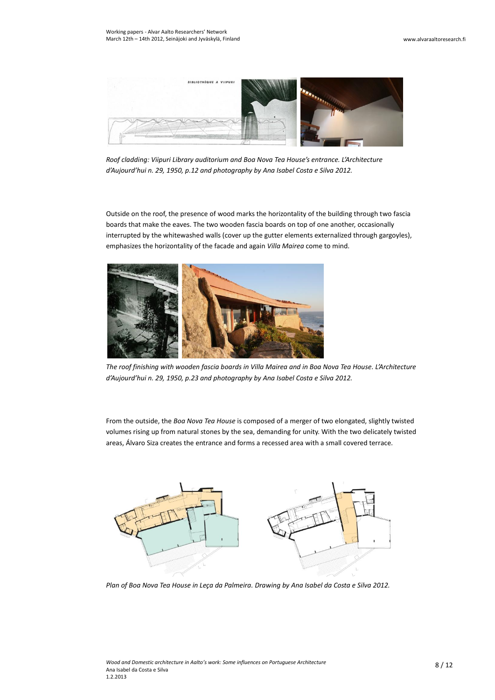

*Roof cladding: Viipuri Library auditorium and Boa Nova Tea House's entrance. L'Architecture d'Aujourd'hui n. 29, 1950, p.12 and photography by Ana Isabel Costa e Silva 2012.*

Outside on the roof, the presence of wood marks the horizontality of the building through two fascia boards that make the eaves. The two wooden fascia boards on top of one another, occasionally interrupted by the whitewashed walls (cover up the gutter elements externalized through gargoyles), emphasizes the horizontality of the facade and again *Villa Mairea* come to mind.



*The roof finishing with wooden fascia boards in Villa Mairea and in Boa Nova Tea House. L'Architecture d'Aujourd'hui n. 29, 1950, p.23 and photography by Ana Isabel Costa e Silva 2012.*

From the outside, the *Boa Nova Tea House* is composed of a merger of two elongated, slightly twisted volumes rising up from natural stones by the sea, demanding for unity. With the two delicately twisted areas, Álvaro Siza creates the entrance and forms a recessed area with a small covered terrace.



*Plan of Boa Nova Tea House in Leça da Palmeira. Drawing by Ana Isabel da Costa e Silva 2012.*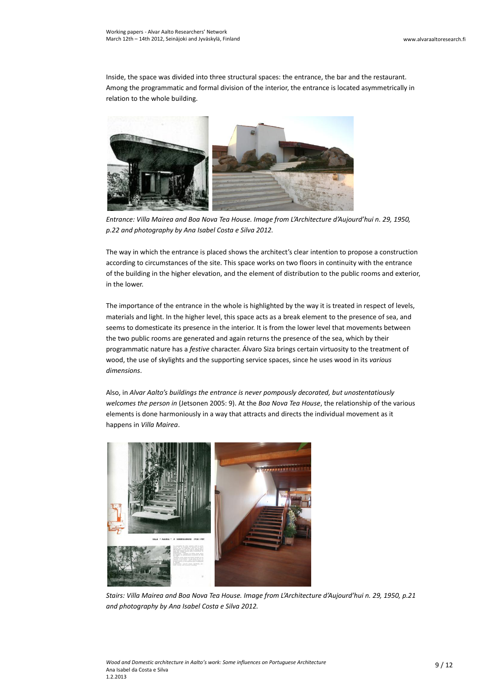Inside, the space was divided into three structural spaces: the entrance, the bar and the restaurant. Among the programmatic and formal division of the interior, the entrance is located asymmetrically in relation to the whole building.



*Entrance: Villa Mairea and Boa Nova Tea House. Image from L'Architecture d'Aujourd'hui n. 29, 1950, p.22 and photography by Ana Isabel Costa e Silva 2012.*

The way in which the entrance is placed shows the architect's clear intention to propose a construction according to circumstances of the site. This space works on two floors in continuity with the entrance of the building in the higher elevation, and the element of distribution to the public rooms and exterior, in the lower.

The importance of the entrance in the whole is highlighted by the way it is treated in respect of levels, materials and light. In the higher level, this space acts as a break element to the presence of sea, and seems to domesticate its presence in the interior. It is from the lower level that movements between the two public rooms are generated and again returns the presence of the sea, which by their programmatic nature has a *festive* character. Álvaro Siza brings certain virtuosity to the treatment of wood, the use of skylights and the supporting service spaces, since he uses wood in its *various dimensions*.

Also, in *Alvar Aalto's buildings the entrance is never pompously decorated, but unostentatiously welcomes the person in* (Jetsonen 2005: 9). At the *Boa Nova Tea House*, the relationship of the various elements is done harmoniously in a way that attracts and directs the individual movement as it happens in *Villa Mairea*.



*Stairs: Villa Mairea and Boa Nova Tea House. Image from L'Architecture d'Aujourd'hui n. 29, 1950, p.21 and photography by Ana Isabel Costa e Silva 2012.*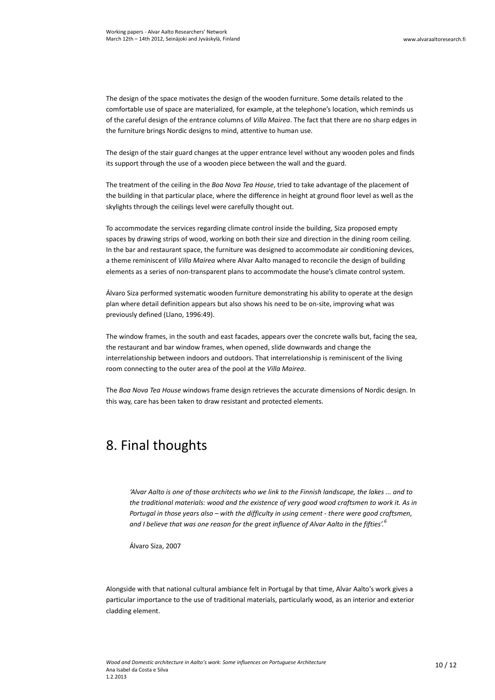The design of the space motivates the design of the wooden furniture. Some details related to the comfortable use of space are materialized, for example, at the telephone's location, which reminds us of the careful design of the entrance columns of *Villa Mairea*. The fact that there are no sharp edges in the furniture brings Nordic designs to mind, attentive to human use.

The design of the stair guard changes at the upper entrance level without any wooden poles and finds its support through the use of a wooden piece between the wall and the guard.

The treatment of the ceiling in the *Boa Nova Tea House*, tried to take advantage of the placement of the building in that particular place, where the difference in height at ground floor level as well as the skylights through the ceilings level were carefully thought out.

To accommodate the services regarding climate control inside the building, Siza proposed empty spaces by drawing strips of wood, working on both their size and direction in the dining room ceiling. In the bar and restaurant space, the furniture was designed to accommodate air conditioning devices, a theme reminiscent of *Villa Mairea* where Alvar Aalto managed to reconcile the design of building elements as a series of non-transparent plans to accommodate the house's climate control system.

Álvaro Siza performed systematic wooden furniture demonstrating his ability to operate at the design plan where detail definition appears but also shows his need to be on-site, improving what was previously defined (Llano, 1996:49).

The window frames, in the south and east facades, appears over the concrete walls but, facing the sea, the restaurant and bar window frames, when opened, slide downwards and change the interrelationship between indoors and outdoors. That interrelationship is reminiscent of the living room connecting to the outer area of the pool at the *Villa Mairea*.

The *Boa Nova Tea House* windows frame design retrieves the accurate dimensions of Nordic design. In this way, care has been taken to draw resistant and protected elements.

#### 8. Final thoughts

*'Alvar Aalto is one of those architects who we link to the Finnish landscape, the lakes ... and to the traditional materials: wood and the existence of very good wood craftsmen to work it. As in Portugal in those years also – with the difficulty in using cement - there were good craftsmen, and I believe that was one reason for the great influence of Alvar Aalto in the fifties'.<sup>6</sup>*

Álvaro Siza, 2007

Alongside with that national cultural ambiance felt in Portugal by that time, Alvar Aalto's work gives a particular importance to the use of traditional materials, particularly wood, as an interior and exterior cladding element.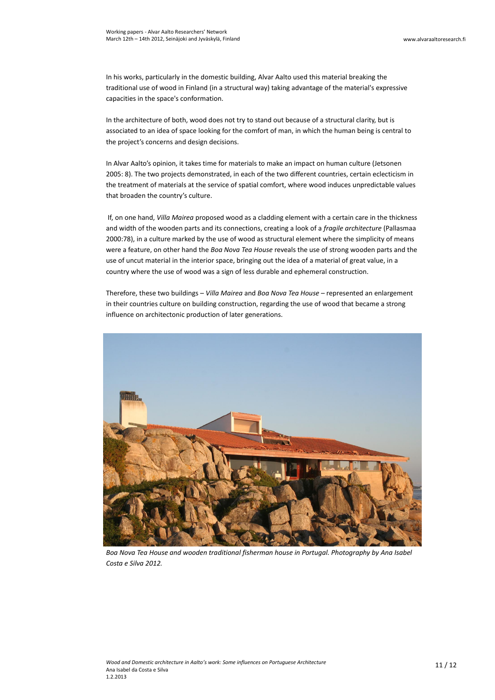In his works, particularly in the domestic building, Alvar Aalto used this material breaking the traditional use of wood in Finland (in a structural way) taking advantage of the material's expressive capacities in the space's conformation.

In the architecture of both, wood does not try to stand out because of a structural clarity, but is associated to an idea of space looking for the comfort of man, in which the human being is central to the project's concerns and design decisions.

In Alvar Aalto's opinion, it takes time for materials to make an impact on human culture (Jetsonen 2005: 8). The two projects demonstrated, in each of the two different countries, certain eclecticism in the treatment of materials at the service of spatial comfort, where wood induces unpredictable values that broaden the country's culture.

If, on one hand, *Villa Mairea* proposed wood as a cladding element with a certain care in the thickness and width of the wooden parts and its connections, creating a look of a *fragile architecture* (Pallasmaa 2000:78), in a culture marked by the use of wood as structural element where the simplicity of means were a feature, on other hand the *Boa Nova Tea House* reveals the use of strong wooden parts and the use of uncut material in the interior space, bringing out the idea of a material of great value, in a country where the use of wood was a sign of less durable and ephemeral construction.

Therefore, these two buildings – *Villa Mairea* and *Boa Nova Tea House* – represented an enlargement in their countries culture on building construction, regarding the use of wood that became a strong influence on architectonic production of later generations.



*Boa Nova Tea House and wooden traditional fisherman house in Portugal. Photography by Ana Isabel Costa e Silva 2012.*